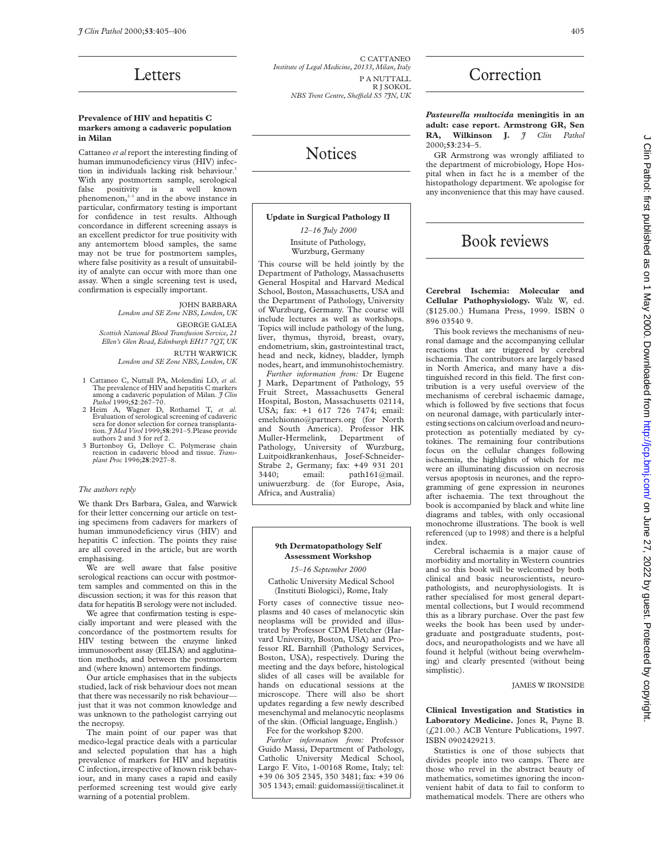## Letters

#### **Prevalence of HIV and hepatitis C markers among a cadaveric population in Milan**

Cattaneo *et al* report the interesting finding of human immunodeficiency virus (HIV) infection in individuals lacking risk behaviour.<sup>1</sup> With any postmortem sample, serological false positivity is a well known phenomenon,<sup>2-3</sup> and in the above instance in particular, confirmatory testing is important for confidence in test results. Although concordance in different screening assays is an excellent predictor for true positivity with any antemortem blood samples, the same may not be true for postmortem samples, where false positivity as a result of unsuitability of analyte can occur with more than one assay. When a single screening test is used, confirmation is especially important.

> JOHN BARBARA *London and SE Zone NBS, London, UK*

GEORGE GALEA

*Scottish National Blood Transfusion Service, 21 Ellen's Glen Road, Edinburgh EH17 7QT, UK*

> RUTH WARWICK *London and SE Zone NBS, London, UK*

- 1 Cattaneo C, Nuttall PA, Molendini LO, *et al*. The prevalence of HIV and hepatitis C markers among a cadaveric population of Milan. *J Clin Pathol* 1999;**52**:267–70.
- 2 Heim A, Wagner D, Rothamel T, *et al.* Evaluation of serological screening of cadaveric sera for donor selection for cornea transplanta-tion. *J Med Virol* 1999;**58**:291–5.Please provide authors 2 and 3 for ref 2.
- 3 Burtonboy G, Delloye C. Polymerase chain reaction in cadaveric blood and tissue. *Transplant Proc* 1996;**28**:2927–8.

#### *The authors reply*

We thank Drs Barbara, Galea, and Warwick for their letter concerning our article on testing specimens from cadavers for markers of human immunodeficiency virus (HIV) and hepatitis C infection. The points they raise are all covered in the article, but are worth emphasising.

We are well aware that false positive serological reactions can occur with postmortem samples and commented on this in the discussion section; it was for this reason that data for hepatitis B serology were not included.

We agree that confirmation testing is especially important and were pleased with the concordance of the postmortem results for HIV testing between the enzyme linked immunosorbent assay (ELISA) and agglutination methods, and between the postmortem and (where known) antemortem findings.

Our article emphasises that in the subjects studied, lack of risk behaviour does not mean that there was necessarily no risk behaviour just that it was not common knowledge and was unknown to the pathologist carrying out the necropsy.

The main point of our paper was that medico-legal practice deals with a particular and selected population that has a high prevalence of markers for HIV and hepatitis C infection, irrespective of known risk behaviour, and in many cases a rapid and easily performed screening test would give early warning of a potential problem.

C CATTANEO *Institute of Legal Medicine, 20133, Milan, Italy* P A NUTTALL R J SOKOL *NBS Trent Centre, SheYeld S5 7JN, UK*

# Notices

#### **Update in Surgical Pathology II**

*12–16 July 2000* Insitute of Pathology,

Wurzburg, Germany This course will be held jointly by the Department of Pathology, Massachusetts General Hospital and Harvard Medical School, Boston, Massachusetts, USA and the Department of Pathology, University of Wurzburg, Germany. The course will include lectures as well as workshops. Topics will include pathology of the lung, liver, thymus, thyroid, breast, ovary, endometrium, skin, gastrointestinal tract, head and neck, kidney, bladder, lymph nodes, heart, and immunohistochemistry.

*Further information from:* Dr Eugene J Mark, Department of Pathology, 55 Fruit Street, Massachusetts General Hospital, Boston, Massachusetts 02114, USA; fax: +1 617 726 7474; email: emelchionno@partners.org (for North and South America). Professor HK Muller-Hermelink, Department of Pathology, University of Wurzburg, Luitpoidkrankenhaus, Josef-Schneider-Strabe 2, Germany; fax: +49 931 201 3440; email: path161@mail. uniwuerzburg. de (for Europe, Asia, Africa, and Australia)

#### **9th Dermatopathology Self Assessment Workshop**

*15–16 September 2000*

Catholic University Medical School (Instituti Biologici), Rome, Italy

Forty cases of connective tissue neoplasms and 40 cases of melanocytic skin neoplasms will be provided and illustrated by Professor CDM Fletcher (Harvard University, Boston, USA) and Professor RL Barnhill (Pathology Services, Boston, USA), respectively. During the meeting and the days before, histological slides of all cases will be available for hands on educational sessions at the microscope. There will also be short updates regarding a few newly described mesenchymal and melanocytic neoplasms of the skin. (Official language, English.)

Fee for the workshop \$200.

*Further information from:* Professor Guido Massi, Department of Pathology, Catholic University Medical School, Largo F. Vito, 1-00168 Rome, Italy; tel: +39 06 305 2345, 350 3481; fax: +39 06 305 1343; email: guidomassi@tiscalinet.it

## **Correction**

*Pasteurella multocida* **meningitis in an adult: case report. Armstrong GR, Sen RA, Wilkinson J.** *J Clin Pathol* 2000;**53**:234–5.

GR Armstrong was wrongly affiliated to the department of microbiology, Hope Hospital when in fact he is a member of the histopathology department. We apologise for any inconvenience that this may have caused.

## Book reviews

**Cerebral Ischemia: Molecular and Cellular Pathophysiology.** Walz W, ed. (\$125.00.) Humana Press, 1999. ISBN 0 896 03540 9.

This book reviews the mechanisms of neuronal damage and the accompanying cellular reactions that are triggered by cerebral ischaemia. The contributors are largely based in North America, and many have a distinguished record in this field. The first contribution is a very useful overview of the mechanisms of cerebral ischaemic damage, which is followed by five sections that focus on neuronal damage, with particularly interesting sections on calcium overload and neuroprotection as potentially mediated by cytokines. The remaining four contributions focus on the cellular changes following ischaemia, the highlights of which for me were an illuminating discussion on necrosis versus apoptosis in neurones, and the reprogramming of gene expression in neurones after ischaemia. The text throughout the book is accompanied by black and white line diagrams and tables, with only occasional monochrome illustrations. The book is well referenced (up to 1998) and there is a helpful index.

Cerebral ischaemia is a major cause of morbidity and mortality in Western countries and so this book will be welcomed by both clinical and basic neuroscientists, neuropathologists, and neurophysiologists. It is rather specialised for most general departmental collections, but I would recommend this as a library purchase. Over the past few weeks the book has been used by undergraduate and postgraduate students, postdocs, and neuropathologists and we have all found it helpful (without being overwhelming) and clearly presented (without being simplistic).

JAMES W IRONSIDE

**Clinical Investigation and Statistics in Laboratory Medicine.** Jones R, Payne B. (£21.00.) ACB Venture Publications, 1997. ISBN 0902429213.

Statistics is one of those subjects that divides people into two camps. There are those who revel in the abstract beauty of mathematics, sometimes ignoring the inconvenient habit of data to fail to conform to mathematical models. There are others who